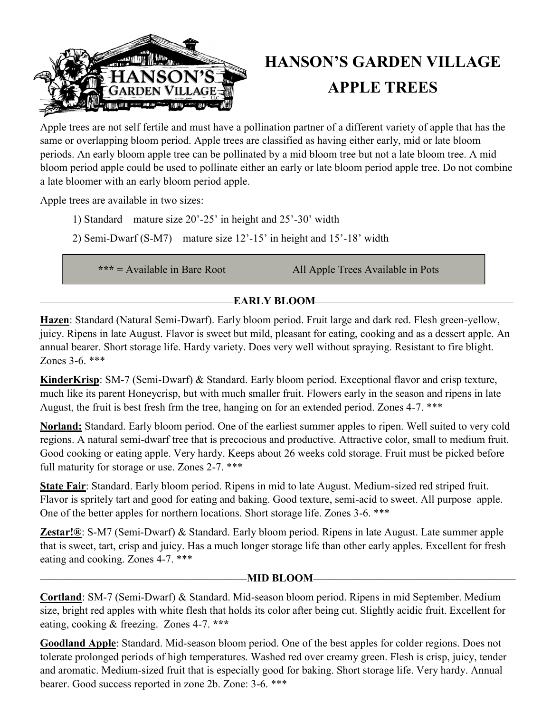

# **HANSON'S GARDEN VILLAGE APPLE TREES**

Apple trees are not self fertile and must have a pollination partner of a different variety of apple that has the same or overlapping bloom period. Apple trees are classified as having either early, mid or late bloom periods. An early bloom apple tree can be pollinated by a mid bloom tree but not a late bloom tree. A mid bloom period apple could be used to pollinate either an early or late bloom period apple tree. Do not combine a late bloomer with an early bloom period apple.

Apple trees are available in two sizes:

- 1) Standard mature size 20'-25' in height and 25'-30' width
- 2) Semi-Dwarf (S-M7) mature size 12'-15' in height and 15'-18' width

**\*\*\*** = Available in Bare Root All Apple Trees Available in Pots

### —————————————————————–**EARLY BLOOM**——————————————————————

**Hazen**: Standard (Natural Semi-Dwarf). Early bloom period. Fruit large and dark red. Flesh green-yellow, juicy. Ripens in late August. Flavor is sweet but mild, pleasant for eating, cooking and as a dessert apple. An annual bearer. Short storage life. Hardy variety. Does very well without spraying. Resistant to fire blight. Zones 3-6. \*\*\*

**KinderKrisp**: SM-7 (Semi-Dwarf) & Standard. Early bloom period. Exceptional flavor and crisp texture, much like its parent Honeycrisp, but with much smaller fruit. Flowers early in the season and ripens in late August, the fruit is best fresh frm the tree, hanging on for an extended period. Zones 4-7. \*\*\*

**Norland:** Standard. Early bloom period. One of the earliest summer apples to ripen. Well suited to very cold regions. A natural semi-dwarf tree that is precocious and productive. Attractive color, small to medium fruit. Good cooking or eating apple. Very hardy. Keeps about 26 weeks cold storage. Fruit must be picked before full maturity for storage or use. Zones 2-7. \*\*\*

**State Fair**: Standard. Early bloom period. Ripens in mid to late August. Medium-sized red striped fruit. Flavor is spritely tart and good for eating and baking. Good texture, semi-acid to sweet. All purpose apple. One of the better apples for northern locations. Short storage life. Zones 3-6. \*\*\*

**Zestar!®**: S-M7 (Semi-Dwarf) & Standard. Early bloom period. Ripens in late August. Late summer apple that is sweet, tart, crisp and juicy. Has a much longer storage life than other early apples. Excellent for fresh eating and cooking. Zones 4-7. \*\*\*

#### ———————————————————————**MID BLOOM**—–—————————————————————

**Cortland**: SM-7 (Semi-Dwarf) & Standard. Mid-season bloom period. Ripens in mid September. Medium size, bright red apples with white flesh that holds its color after being cut. Slightly acidic fruit. Excellent for eating, cooking & freezing. Zones 4-7. **\*\*\***

**Goodland Apple**: Standard. Mid-season bloom period. One of the best apples for colder regions. Does not tolerate prolonged periods of high temperatures. Washed red over creamy green. Flesh is crisp, juicy, tender and aromatic. Medium-sized fruit that is especially good for baking. Short storage life. Very hardy. Annual bearer. Good success reported in zone 2b. Zone: 3-6. \*\*\*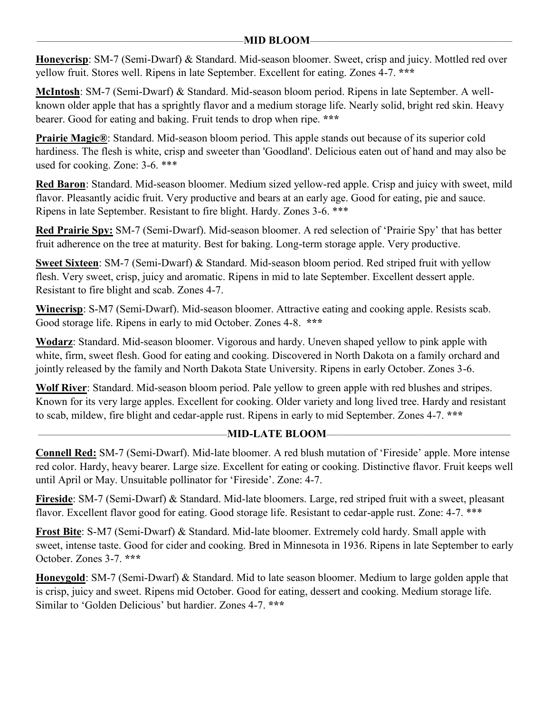**Honeycrisp**: SM-7 (Semi-Dwarf) & Standard. Mid-season bloomer. Sweet, crisp and juicy. Mottled red over yellow fruit. Stores well. Ripens in late September. Excellent for eating. Zones 4-7. **\*\*\***

**McIntosh**: SM-7 (Semi-Dwarf) & Standard. Mid-season bloom period. Ripens in late September. A wellknown older apple that has a sprightly flavor and a medium storage life. Nearly solid, bright red skin. Heavy bearer. Good for eating and baking. Fruit tends to drop when ripe. **\*\*\***

**Prairie Magic®**: Standard. Mid-season bloom period. This apple stands out because of its superior cold hardiness. The flesh is white, crisp and sweeter than 'Goodland'. Delicious eaten out of hand and may also be used for cooking. Zone: 3-6. \*\*\*

**Red Baron**: Standard. Mid-season bloomer. Medium sized yellow-red apple. Crisp and juicy with sweet, mild flavor. Pleasantly acidic fruit. Very productive and bears at an early age. Good for eating, pie and sauce. Ripens in late September. Resistant to fire blight. Hardy. Zones 3-6. \*\*\*

**Red Prairie Spy:** SM-7 (Semi-Dwarf). Mid-season bloomer. A red selection of 'Prairie Spy' that has better fruit adherence on the tree at maturity. Best for baking. Long-term storage apple. Very productive.

**Sweet Sixteen**: SM-7 (Semi-Dwarf) & Standard. Mid-season bloom period. Red striped fruit with yellow flesh. Very sweet, crisp, juicy and aromatic. Ripens in mid to late September. Excellent dessert apple. Resistant to fire blight and scab. Zones 4-7.

**Winecrisp**: S-M7 (Semi-Dwarf). Mid-season bloomer. Attractive eating and cooking apple. Resists scab. Good storage life. Ripens in early to mid October. Zones 4-8. **\*\*\***

**Wodarz**: Standard. Mid-season bloomer. Vigorous and hardy. Uneven shaped yellow to pink apple with white, firm, sweet flesh. Good for eating and cooking. Discovered in North Dakota on a family orchard and jointly released by the family and North Dakota State University. Ripens in early October. Zones 3-6.

**Wolf River**: Standard. Mid-season bloom period. Pale yellow to green apple with red blushes and stripes. Known for its very large apples. Excellent for cooking. Older variety and long lived tree. Hardy and resistant to scab, mildew, fire blight and cedar-apple rust. Ripens in early to mid September. Zones 4-7. **\*\*\***

#### —————————————————————**MID-LATE BLOOM**—–———————————————————

**Connell Red:** SM-7 (Semi-Dwarf). Mid-late bloomer. A red blush mutation of 'Fireside' apple. More intense red color. Hardy, heavy bearer. Large size. Excellent for eating or cooking. Distinctive flavor. Fruit keeps well until April or May. Unsuitable pollinator for 'Fireside'. Zone: 4-7.

**Fireside**: SM-7 (Semi-Dwarf) & Standard. Mid-late bloomers. Large, red striped fruit with a sweet, pleasant flavor. Excellent flavor good for eating. Good storage life. Resistant to cedar-apple rust. Zone: 4-7. \*\*\*

**Frost Bite**: S-M7 (Semi-Dwarf) & Standard. Mid-late bloomer. Extremely cold hardy. Small apple with sweet, intense taste. Good for cider and cooking. Bred in Minnesota in 1936. Ripens in late September to early October. Zones 3-7. **\*\*\***

**Honeygold**: SM-7 (Semi-Dwarf) & Standard. Mid to late season bloomer. Medium to large golden apple that is crisp, juicy and sweet. Ripens mid October. Good for eating, dessert and cooking. Medium storage life. Similar to 'Golden Delicious' but hardier. Zones 4-7. **\*\*\***